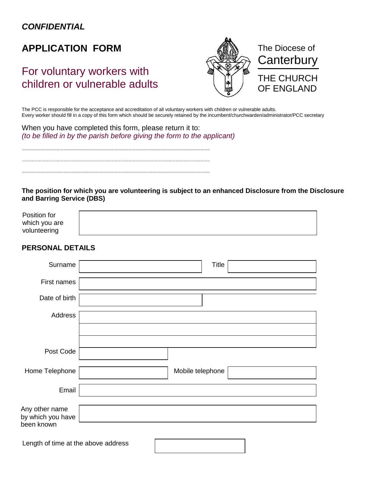### *CONFIDENTIAL*

# **APPLICATION FORM**

# For voluntary workers with children or vulnerable adults



The PCC is responsible for the acceptance and accreditation of all voluntary workers with children or vulnerable adults. Every worker should fill in a copy of this form which should be securely retained by the incumbent/churchwarden/administrator/PCC secretary

When you have completed this form, please return it to: *(to be filled in by the parish before giving the form to the applicant)*

........................................................................................................................................ ........................................................................................................................................ ........................................................................................................................................

**The position for which you are volunteering is subject to an enhanced Disclosure from the Disclosure and Barring Service (DBS)**

| Position for  |  |
|---------------|--|
| which you are |  |
| volunteering  |  |

#### **PERSONAL DETAILS**

| Surname                                           |  | <b>Title</b>     |  |  |  |
|---------------------------------------------------|--|------------------|--|--|--|
| First names                                       |  |                  |  |  |  |
| Date of birth                                     |  |                  |  |  |  |
| Address                                           |  |                  |  |  |  |
|                                                   |  |                  |  |  |  |
| Post Code                                         |  |                  |  |  |  |
| Home Telephone                                    |  | Mobile telephone |  |  |  |
| Email                                             |  |                  |  |  |  |
| Any other name<br>by which you have<br>been known |  |                  |  |  |  |
| Length of time at the above address               |  |                  |  |  |  |